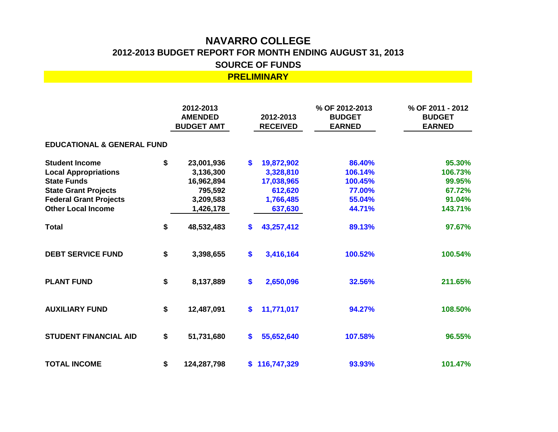## **NAVARRO COLLEGE 2012-2013 BUDGET REPORT FOR MONTH ENDING AUGUST 31, 2013 SOURCE OF FUNDS**

**PRELIMINARY**

**2012-2013 % OF 2012-2013 AMENDED 2012-2013 BUDGET BUDGET AMT RECEIVED EARNED EDUCATIONAL & GENERAL FUND Student Income \$ 23,001,936 \$ 19,872,902 86.40% 95.30% Local Appropriations 3,136,300 3,328,810 106.14% 106.73% State Funds 16,962,894 17,038,965 100.45% 99.95% State Grant Projects 795,592 612,620 77.00% 67.72% Federal Grant Projects 3,209,583 1,766,485 55.04% 91.04% Other Local Income 1,426,178 637,630 44.71% 143.71% Total \$ 48,532,483 \$ 43,257,412 89.13% 97.67% DEBT SERVICE FUND \$ 3,398,655 \$ 3,416,164 100.52% 100.54% PLANT FUND \$ 8,137,889 \$ 2,650,096 32.56% 211.65% AUXILIARY FUND \$ 12,487,091 \$ 11,771,017 94.27% 108.50% STUDENT FINANCIAL AID \$ 51,731,680 \$ 55,652,640 107.58% 96.55% TOTAL INCOME \$ 124,287,798 \$ 116,747,329 93.93% 101.47% % OF 2011 - 2012 BUDGET EARNED**